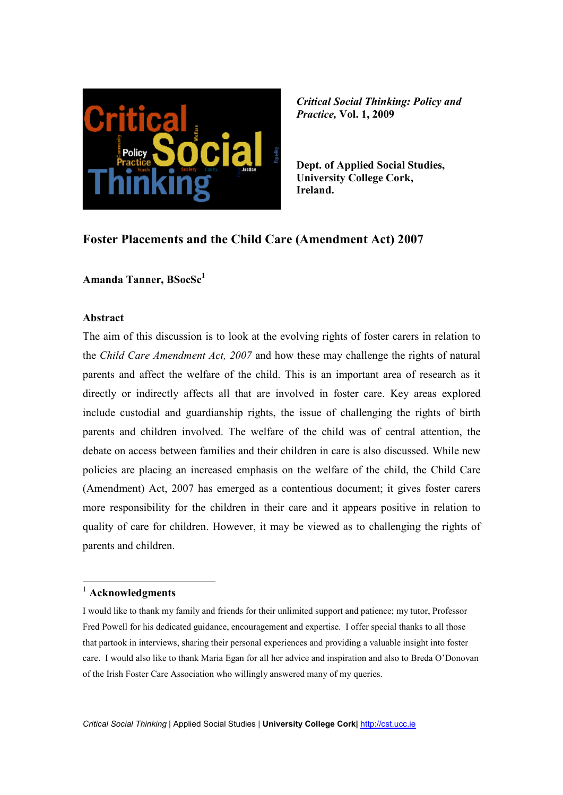

**Dept. of Applied Social Studies, University College Cork, Ireland.**

## **Foster Placements and the Child Care (Amendment Act) 2007**

**Amanda Tanner, BSocSc<sup>1</sup>**

#### **Abstract**

The aim of this discussion is to look at the evolving rights of foster carers in relation to the *Child Care Amendment Act, 2007* and how these may challenge the rights of natural parents and affect the welfare of the child. This is an important area of research as it directly or indirectly affects all that are involved in foster care. Key areas explored include custodial and guardianship rights, the issue of challenging the rights of birth parents and children involved. The welfare of the child was of central attention, the debate on access between families and their children in care is also discussed. While new policies are placing an increased emphasis on the welfare of the child, the Child Care (Amendment) Act, 2007 has emerged as a contentious document; it gives foster carers more responsibility for the children in their care and it appears positive in relation to quality of care for children. However, it may be viewed as to challenging the rights of parents and children.

#### <sup>1</sup> **Acknowledgments**

 $\overline{a}$ 

I would like to thank my family and friends for their unlimited support and patience; my tutor, Professor Fred Powell for his dedicated guidance, encouragement and expertise. I offer special thanks to all those that partook in interviews, sharing their personal experiences and providing a valuable insight into foster care. I would also like to thank Maria Egan for all her advice and inspiration and also to Breda O'Donovan of the Irish Foster Care Association who willingly answered many of my queries.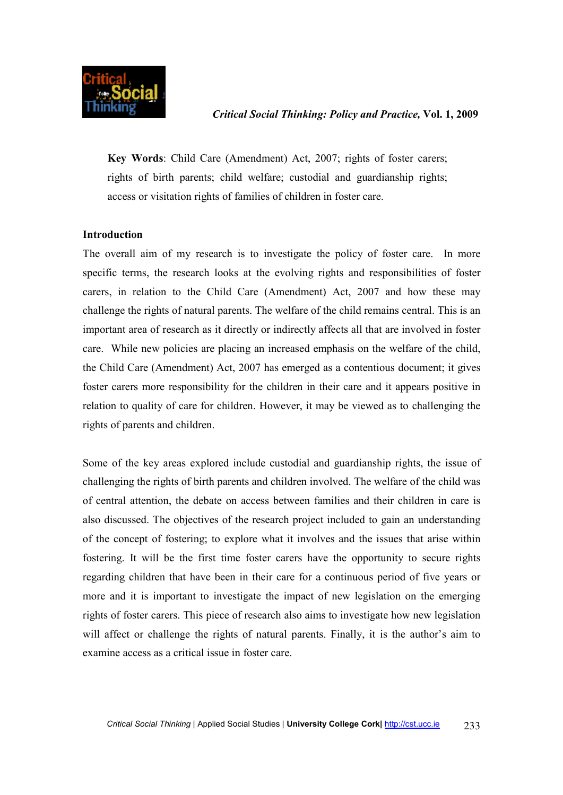

**Key Words**: Child Care (Amendment) Act, 2007; rights of foster carers; rights of birth parents; child welfare; custodial and guardianship rights; access or visitation rights of families of children in foster care.

#### **Introduction**

The overall aim of my research is to investigate the policy of foster care. In more specific terms, the research looks at the evolving rights and responsibilities of foster carers, in relation to the Child Care (Amendment) Act, 2007 and how these may challenge the rights of natural parents. The welfare of the child remains central. This is an important area of research as it directly or indirectly affects all that are involved in foster care. While new policies are placing an increased emphasis on the welfare of the child, the Child Care (Amendment) Act, 2007 has emerged as a contentious document; it gives foster carers more responsibility for the children in their care and it appears positive in relation to quality of care for children. However, it may be viewed as to challenging the rights of parents and children.

Some of the key areas explored include custodial and guardianship rights, the issue of challenging the rights of birth parents and children involved. The welfare of the child was of central attention, the debate on access between families and their children in care is also discussed. The objectives of the research project included to gain an understanding of the concept of fostering; to explore what it involves and the issues that arise within fostering. It will be the first time foster carers have the opportunity to secure rights regarding children that have been in their care for a continuous period of five years or more and it is important to investigate the impact of new legislation on the emerging rights of foster carers. This piece of research also aims to investigate how new legislation will affect or challenge the rights of natural parents. Finally, it is the author's aim to examine access as a critical issue in foster care.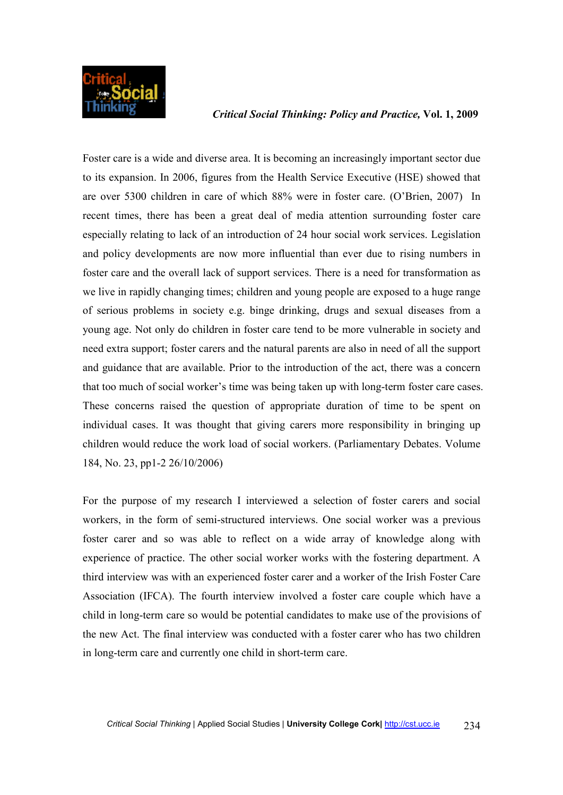

Foster care is a wide and diverse area. It is becoming an increasingly important sector due to its expansion. In 2006, figures from the Health Service Executive (HSE) showed that are over 5300 children in care of which 88% were in foster care. (O'Brien, 2007) In recent times, there has been a great deal of media attention surrounding foster care especially relating to lack of an introduction of 24 hour social work services. Legislation and policy developments are now more influential than ever due to rising numbers in foster care and the overall lack of support services. There is a need for transformation as we live in rapidly changing times; children and young people are exposed to a huge range of serious problems in society e.g. binge drinking, drugs and sexual diseases from a young age. Not only do children in foster care tend to be more vulnerable in society and need extra support; foster carers and the natural parents are also in need of all the support and guidance that are available. Prior to the introduction of the act, there was a concern that too much of social worker's time was being taken up with long-term foster care cases. These concerns raised the question of appropriate duration of time to be spent on individual cases. It was thought that giving carers more responsibility in bringing up children would reduce the work load of social workers. (Parliamentary Debates. Volume 184, No. 23, pp1-2 26/10/2006)

For the purpose of my research I interviewed a selection of foster carers and social workers, in the form of semi-structured interviews. One social worker was a previous foster carer and so was able to reflect on a wide array of knowledge along with experience of practice. The other social worker works with the fostering department. A third interview was with an experienced foster carer and a worker of the Irish Foster Care Association (IFCA). The fourth interview involved a foster care couple which have a child in long-term care so would be potential candidates to make use of the provisions of the new Act. The final interview was conducted with a foster carer who has two children in long-term care and currently one child in short-term care.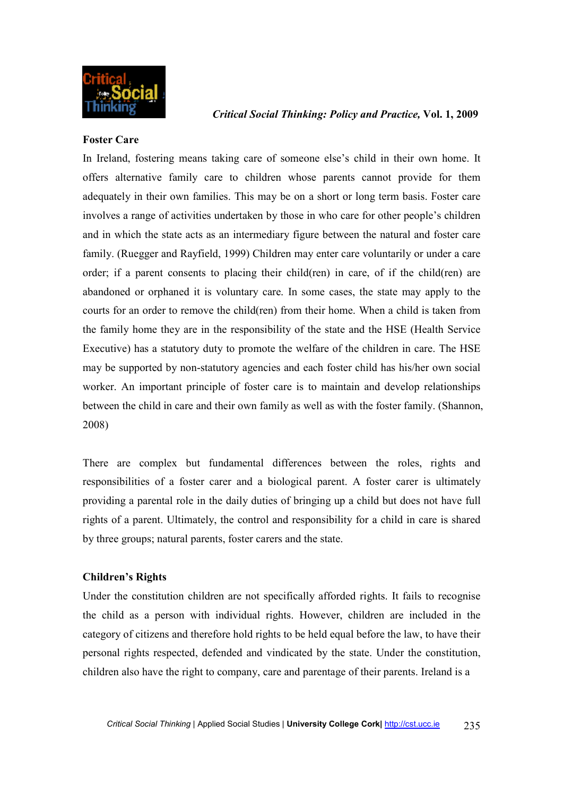

#### **Foster Care**

In Ireland, fostering means taking care of someone else's child in their own home. It offers alternative family care to children whose parents cannot provide for them adequately in their own families. This may be on a short or long term basis. Foster care involves a range of activities undertaken by those in who care for other people's children and in which the state acts as an intermediary figure between the natural and foster care family. (Ruegger and Rayfield, 1999) Children may enter care voluntarily or under a care order; if a parent consents to placing their child(ren) in care, of if the child(ren) are abandoned or orphaned it is voluntary care. In some cases, the state may apply to the courts for an order to remove the child(ren) from their home. When a child is taken from the family home they are in the responsibility of the state and the HSE (Health Service Executive) has a statutory duty to promote the welfare of the children in care. The HSE may be supported by non-statutory agencies and each foster child has his/her own social worker. An important principle of foster care is to maintain and develop relationships between the child in care and their own family as well as with the foster family. (Shannon, 2008)

There are complex but fundamental differences between the roles, rights and responsibilities of a foster carer and a biological parent. A foster carer is ultimately providing a parental role in the daily duties of bringing up a child but does not have full rights of a parent. Ultimately, the control and responsibility for a child in care is shared by three groups; natural parents, foster carers and the state.

## **Children's Rights**

Under the constitution children are not specifically afforded rights. It fails to recognise the child as a person with individual rights. However, children are included in the category of citizens and therefore hold rights to be held equal before the law, to have their personal rights respected, defended and vindicated by the state. Under the constitution, children also have the right to company, care and parentage of their parents. Ireland is a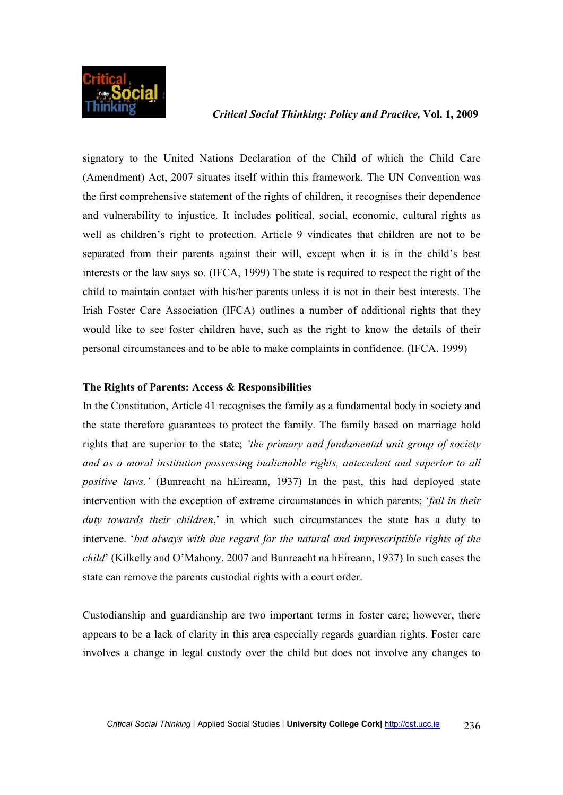

signatory to the United Nations Declaration of the Child of which the Child Care (Amendment) Act, 2007 situates itself within this framework. The UN Convention was the first comprehensive statement of the rights of children, it recognises their dependence and vulnerability to injustice. It includes political, social, economic, cultural rights as well as children's right to protection. Article 9 vindicates that children are not to be separated from their parents against their will, except when it is in the child's best interests or the law says so. (IFCA, 1999) The state is required to respect the right of the child to maintain contact with his/her parents unless it is not in their best interests. The Irish Foster Care Association (IFCA) outlines a number of additional rights that they would like to see foster children have, such as the right to know the details of their personal circumstances and to be able to make complaints in confidence. (IFCA. 1999)

#### **The Rights of Parents: Access & Responsibilities**

In the Constitution, Article 41 recognises the family as a fundamental body in society and the state therefore guarantees to protect the family. The family based on marriage hold rights that are superior to the state; *'the primary and fundamental unit group of society and as a moral institution possessing inalienable rights, antecedent and superior to all positive laws.'* (Bunreacht na hEireann, 1937) In the past, this had deployed state intervention with the exception of extreme circumstances in which parents; '*fail in their duty towards their children*,' in which such circumstances the state has a duty to intervene. '*but always with due regard for the natural and imprescriptible rights of the child*' (Kilkelly and O'Mahony. 2007 and Bunreacht na hEireann, 1937) In such cases the state can remove the parents custodial rights with a court order.

Custodianship and guardianship are two important terms in foster care; however, there appears to be a lack of clarity in this area especially regards guardian rights. Foster care involves a change in legal custody over the child but does not involve any changes to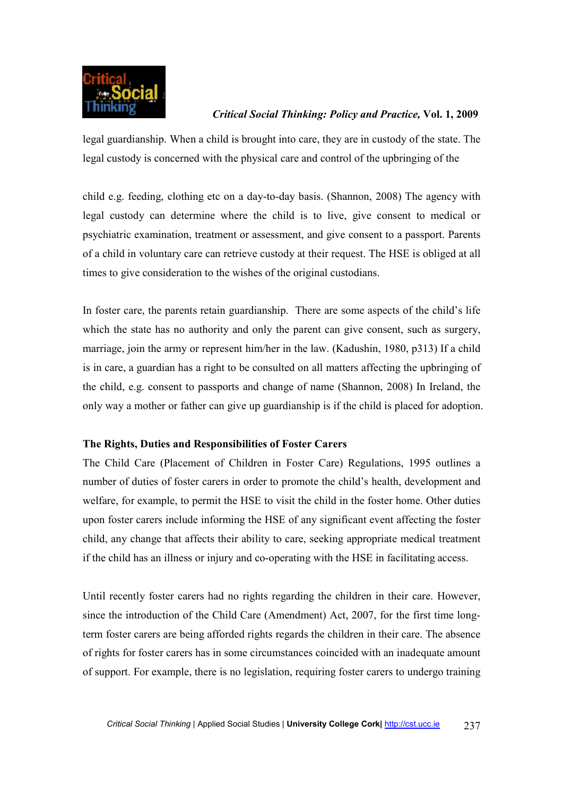

legal guardianship. When a child is brought into care, they are in custody of the state. The legal custody is concerned with the physical care and control of the upbringing of the

child e.g. feeding, clothing etc on a day-to-day basis. (Shannon, 2008) The agency with legal custody can determine where the child is to live, give consent to medical or psychiatric examination, treatment or assessment, and give consent to a passport. Parents of a child in voluntary care can retrieve custody at their request. The HSE is obliged at all times to give consideration to the wishes of the original custodians.

In foster care, the parents retain guardianship. There are some aspects of the child's life which the state has no authority and only the parent can give consent, such as surgery, marriage, join the army or represent him/her in the law. (Kadushin, 1980, p313) If a child is in care, a guardian has a right to be consulted on all matters affecting the upbringing of the child, e.g. consent to passports and change of name (Shannon, 2008) In Ireland, the only way a mother or father can give up guardianship is if the child is placed for adoption.

#### **The Rights, Duties and Responsibilities of Foster Carers**

The Child Care (Placement of Children in Foster Care) Regulations, 1995 outlines a number of duties of foster carers in order to promote the child's health, development and welfare, for example, to permit the HSE to visit the child in the foster home. Other duties upon foster carers include informing the HSE of any significant event affecting the foster child, any change that affects their ability to care, seeking appropriate medical treatment if the child has an illness or injury and co-operating with the HSE in facilitating access.

Until recently foster carers had no rights regarding the children in their care. However, since the introduction of the Child Care (Amendment) Act, 2007, for the first time longterm foster carers are being afforded rights regards the children in their care. The absence of rights for foster carers has in some circumstances coincided with an inadequate amount of support. For example, there is no legislation, requiring foster carers to undergo training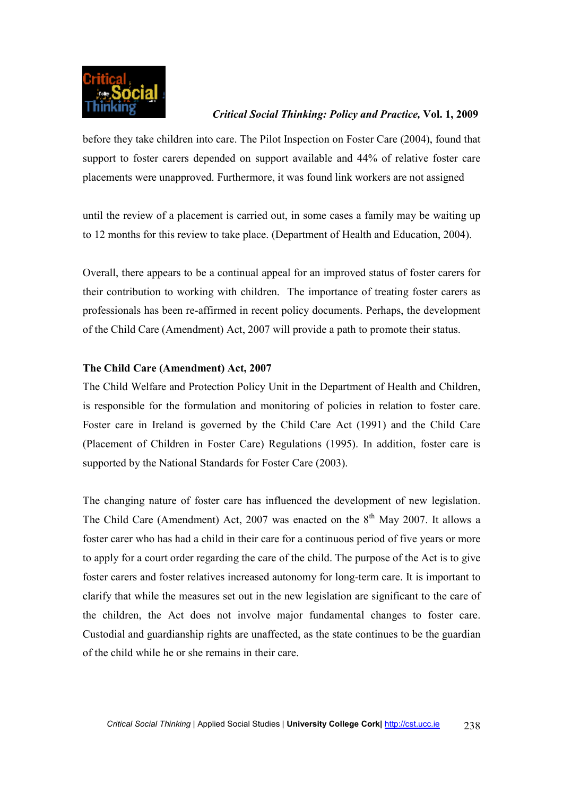

before they take children into care. The Pilot Inspection on Foster Care (2004), found that support to foster carers depended on support available and 44% of relative foster care placements were unapproved. Furthermore, it was found link workers are not assigned

until the review of a placement is carried out, in some cases a family may be waiting up to 12 months for this review to take place. (Department of Health and Education, 2004).

Overall, there appears to be a continual appeal for an improved status of foster carers for their contribution to working with children. The importance of treating foster carers as professionals has been re-affirmed in recent policy documents. Perhaps, the development of the Child Care (Amendment) Act, 2007 will provide a path to promote their status.

#### **The Child Care (Amendment) Act, 2007**

The Child Welfare and Protection Policy Unit in the Department of Health and Children, is responsible for the formulation and monitoring of policies in relation to foster care. Foster care in Ireland is governed by the Child Care Act (1991) and the Child Care (Placement of Children in Foster Care) Regulations (1995). In addition, foster care is supported by the National Standards for Foster Care (2003).

The changing nature of foster care has influenced the development of new legislation. The Child Care (Amendment) Act, 2007 was enacted on the  $8<sup>th</sup>$  May 2007. It allows a foster carer who has had a child in their care for a continuous period of five years or more to apply for a court order regarding the care of the child. The purpose of the Act is to give foster carers and foster relatives increased autonomy for long-term care. It is important to clarify that while the measures set out in the new legislation are significant to the care of the children, the Act does not involve major fundamental changes to foster care. Custodial and guardianship rights are unaffected, as the state continues to be the guardian of the child while he or she remains in their care.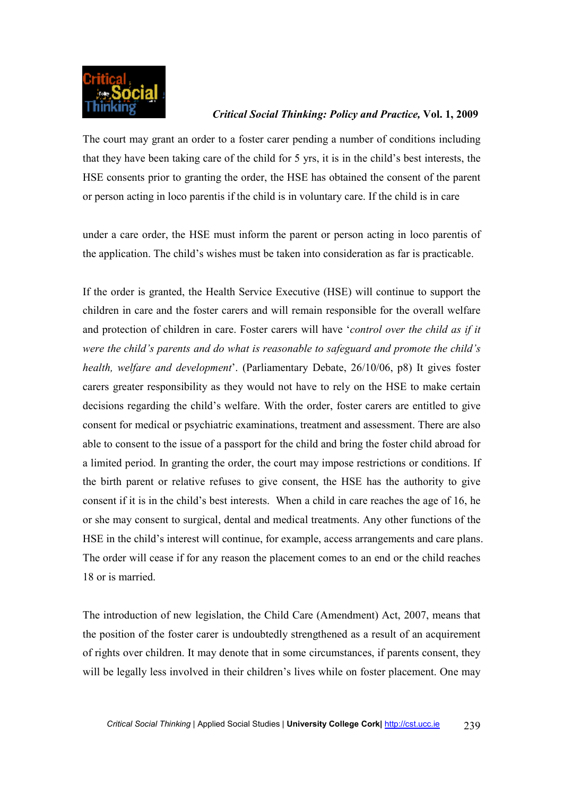

The court may grant an order to a foster carer pending a number of conditions including that they have been taking care of the child for 5 yrs, it is in the child's best interests, the HSE consents prior to granting the order, the HSE has obtained the consent of the parent or person acting in loco parentis if the child is in voluntary care. If the child is in care

under a care order, the HSE must inform the parent or person acting in loco parentis of the application. The child's wishes must be taken into consideration as far is practicable.

If the order is granted, the Health Service Executive (HSE) will continue to support the children in care and the foster carers and will remain responsible for the overall welfare and protection of children in care. Foster carers will have '*control over the child as if it were the child's parents and do what is reasonable to safeguard and promote the child's health, welfare and development*'. (Parliamentary Debate, 26/10/06, p8) It gives foster carers greater responsibility as they would not have to rely on the HSE to make certain decisions regarding the child's welfare. With the order, foster carers are entitled to give consent for medical or psychiatric examinations, treatment and assessment. There are also able to consent to the issue of a passport for the child and bring the foster child abroad for a limited period. In granting the order, the court may impose restrictions or conditions. If the birth parent or relative refuses to give consent, the HSE has the authority to give consent if it is in the child's best interests. When a child in care reaches the age of 16, he or she may consent to surgical, dental and medical treatments. Any other functions of the HSE in the child's interest will continue, for example, access arrangements and care plans. The order will cease if for any reason the placement comes to an end or the child reaches 18 or is married.

The introduction of new legislation, the Child Care (Amendment) Act, 2007, means that the position of the foster carer is undoubtedly strengthened as a result of an acquirement of rights over children. It may denote that in some circumstances, if parents consent, they will be legally less involved in their children's lives while on foster placement. One may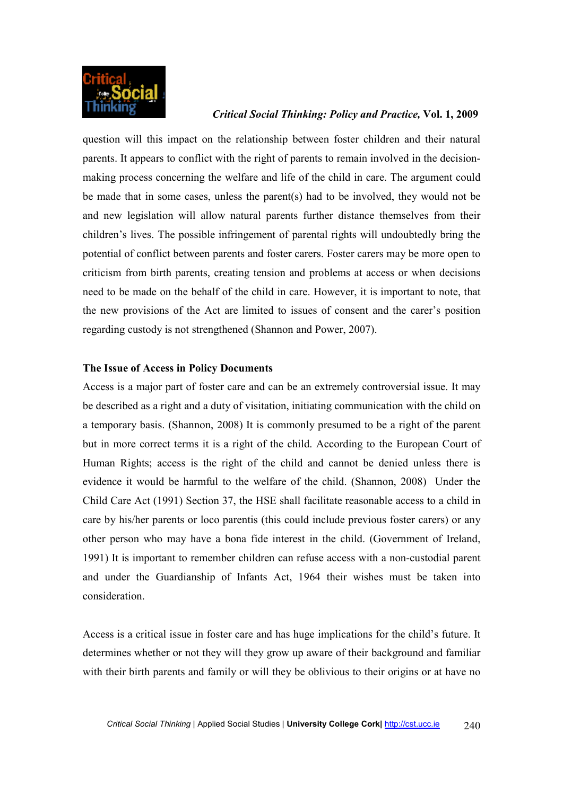

question will this impact on the relationship between foster children and their natural parents. It appears to conflict with the right of parents to remain involved in the decisionmaking process concerning the welfare and life of the child in care. The argument could be made that in some cases, unless the parent(s) had to be involved, they would not be and new legislation will allow natural parents further distance themselves from their children's lives. The possible infringement of parental rights will undoubtedly bring the potential of conflict between parents and foster carers. Foster carers may be more open to criticism from birth parents, creating tension and problems at access or when decisions need to be made on the behalf of the child in care. However, it is important to note, that the new provisions of the Act are limited to issues of consent and the carer's position regarding custody is not strengthened (Shannon and Power, 2007).

#### **The Issue of Access in Policy Documents**

Access is a major part of foster care and can be an extremely controversial issue. It may be described as a right and a duty of visitation, initiating communication with the child on a temporary basis. (Shannon, 2008) It is commonly presumed to be a right of the parent but in more correct terms it is a right of the child. According to the European Court of Human Rights; access is the right of the child and cannot be denied unless there is evidence it would be harmful to the welfare of the child. (Shannon, 2008) Under the Child Care Act (1991) Section 37, the HSE shall facilitate reasonable access to a child in care by his/her parents or loco parentis (this could include previous foster carers) or any other person who may have a bona fide interest in the child. (Government of Ireland, 1991) It is important to remember children can refuse access with a non-custodial parent and under the Guardianship of Infants Act, 1964 their wishes must be taken into consideration.

Access is a critical issue in foster care and has huge implications for the child's future. It determines whether or not they will they grow up aware of their background and familiar with their birth parents and family or will they be oblivious to their origins or at have no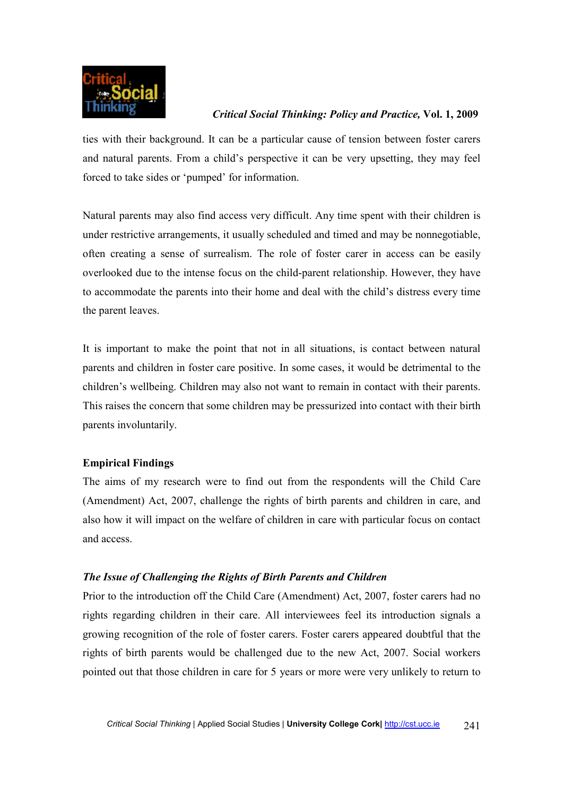

ties with their background. It can be a particular cause of tension between foster carers and natural parents. From a child's perspective it can be very upsetting, they may feel forced to take sides or 'pumped' for information.

Natural parents may also find access very difficult. Any time spent with their children is under restrictive arrangements, it usually scheduled and timed and may be nonnegotiable, often creating a sense of surrealism. The role of foster carer in access can be easily overlooked due to the intense focus on the child-parent relationship. However, they have to accommodate the parents into their home and deal with the child's distress every time the parent leaves.

It is important to make the point that not in all situations, is contact between natural parents and children in foster care positive. In some cases, it would be detrimental to the children's wellbeing. Children may also not want to remain in contact with their parents. This raises the concern that some children may be pressurized into contact with their birth parents involuntarily.

## **Empirical Findings**

The aims of my research were to find out from the respondents will the Child Care (Amendment) Act, 2007, challenge the rights of birth parents and children in care, and also how it will impact on the welfare of children in care with particular focus on contact and access.

## *The Issue of Challenging the Rights of Birth Parents and Children*

Prior to the introduction off the Child Care (Amendment) Act, 2007, foster carers had no rights regarding children in their care. All interviewees feel its introduction signals a growing recognition of the role of foster carers. Foster carers appeared doubtful that the rights of birth parents would be challenged due to the new Act, 2007. Social workers pointed out that those children in care for 5 years or more were very unlikely to return to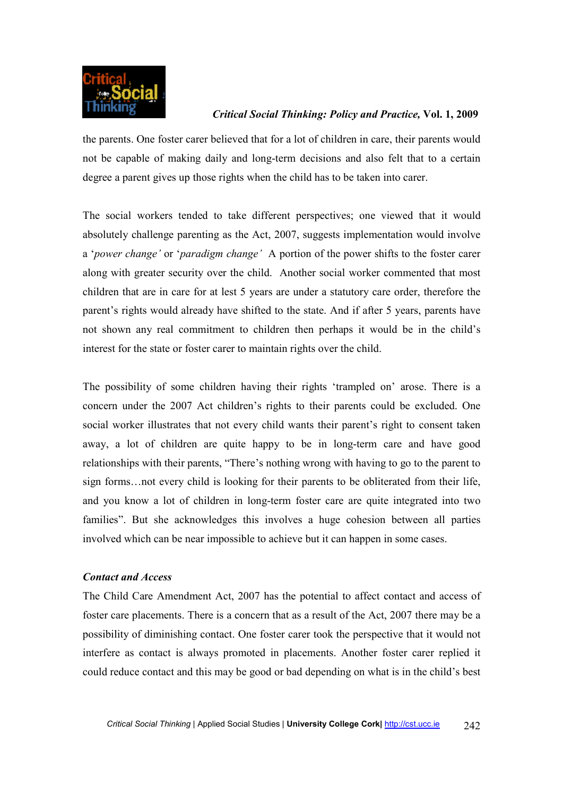

the parents. One foster carer believed that for a lot of children in care, their parents would not be capable of making daily and long-term decisions and also felt that to a certain degree a parent gives up those rights when the child has to be taken into carer.

The social workers tended to take different perspectives; one viewed that it would absolutely challenge parenting as the Act, 2007, suggests implementation would involve a '*power change'* or '*paradigm change'* A portion of the power shifts to the foster carer along with greater security over the child. Another social worker commented that most children that are in care for at lest 5 years are under a statutory care order, therefore the parent's rights would already have shifted to the state. And if after 5 years, parents have not shown any real commitment to children then perhaps it would be in the child's interest for the state or foster carer to maintain rights over the child.

The possibility of some children having their rights 'trampled on' arose. There is a concern under the 2007 Act children's rights to their parents could be excluded. One social worker illustrates that not every child wants their parent's right to consent taken away, a lot of children are quite happy to be in long-term care and have good relationships with their parents, "There's nothing wrong with having to go to the parent to sign forms…not every child is looking for their parents to be obliterated from their life, and you know a lot of children in long-term foster care are quite integrated into two families". But she acknowledges this involves a huge cohesion between all parties involved which can be near impossible to achieve but it can happen in some cases.

## *Contact and Access*

The Child Care Amendment Act, 2007 has the potential to affect contact and access of foster care placements. There is a concern that as a result of the Act, 2007 there may be a possibility of diminishing contact. One foster carer took the perspective that it would not interfere as contact is always promoted in placements. Another foster carer replied it could reduce contact and this may be good or bad depending on what is in the child's best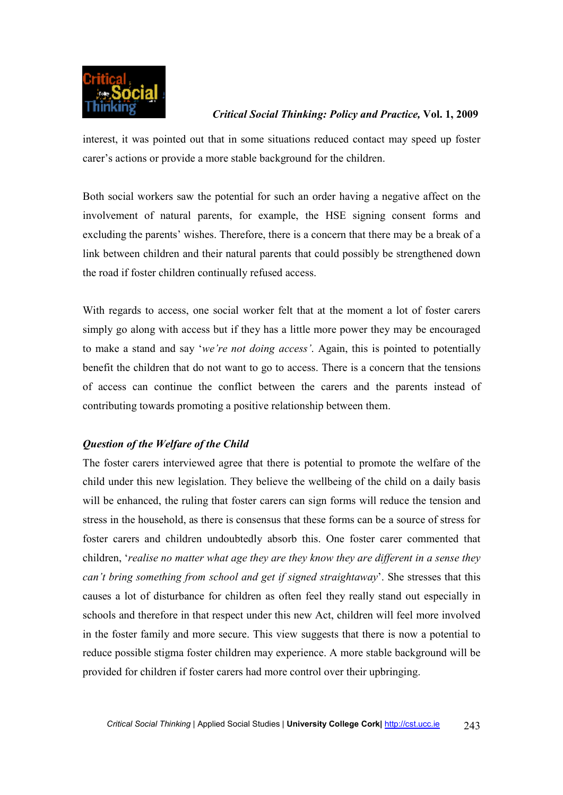

interest, it was pointed out that in some situations reduced contact may speed up foster carer's actions or provide a more stable background for the children.

Both social workers saw the potential for such an order having a negative affect on the involvement of natural parents, for example, the HSE signing consent forms and excluding the parents' wishes. Therefore, there is a concern that there may be a break of a link between children and their natural parents that could possibly be strengthened down the road if foster children continually refused access.

With regards to access, one social worker felt that at the moment a lot of foster carers simply go along with access but if they has a little more power they may be encouraged to make a stand and say '*we're not doing access'*. Again, this is pointed to potentially benefit the children that do not want to go to access. There is a concern that the tensions of access can continue the conflict between the carers and the parents instead of contributing towards promoting a positive relationship between them.

# *Question of the Welfare of the Child*

The foster carers interviewed agree that there is potential to promote the welfare of the child under this new legislation. They believe the wellbeing of the child on a daily basis will be enhanced, the ruling that foster carers can sign forms will reduce the tension and stress in the household, as there is consensus that these forms can be a source of stress for foster carers and children undoubtedly absorb this. One foster carer commented that children, '*realise no matter what age they are they know they are different in a sense they can't bring something from school and get if signed straightaway*'. She stresses that this causes a lot of disturbance for children as often feel they really stand out especially in schools and therefore in that respect under this new Act, children will feel more involved in the foster family and more secure. This view suggests that there is now a potential to reduce possible stigma foster children may experience. A more stable background will be provided for children if foster carers had more control over their upbringing.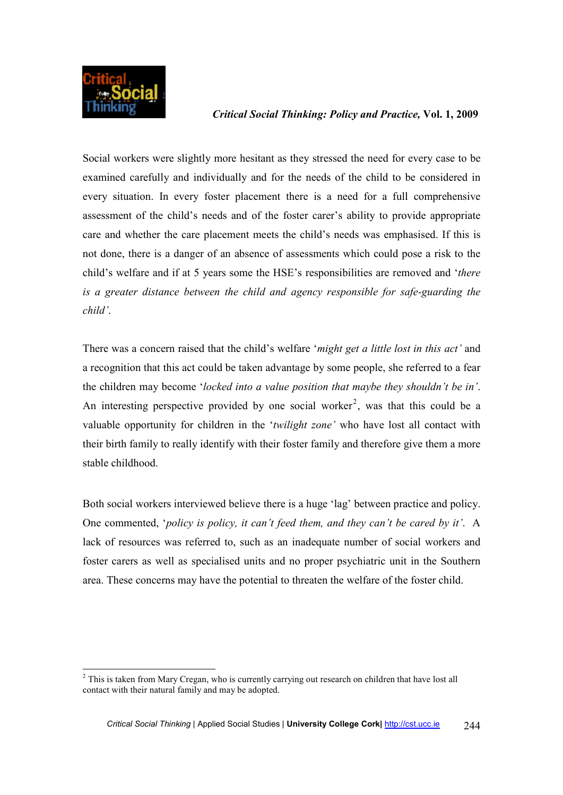

Social workers were slightly more hesitant as they stressed the need for every case to be examined carefully and individually and for the needs of the child to be considered in every situation. In every foster placement there is a need for a full comprehensive assessment of the child's needs and of the foster carer's ability to provide appropriate care and whether the care placement meets the child's needs was emphasised. If this is not done, there is a danger of an absence of assessments which could pose a risk to the child's welfare and if at 5 years some the HSE's responsibilities are removed and '*there is a greater distance between the child and agency responsible for safe-guarding the child'*.

There was a concern raised that the child's welfare '*might get a little lost in this act'* and a recognition that this act could be taken advantage by some people, she referred to a fear the children may become '*locked into a value position that maybe they shouldn't be in'*. An interesting perspective provided by one social worker<sup>2</sup>, was that this could be a valuable opportunity for children in the '*twilight zone'* who have lost all contact with their birth family to really identify with their foster family and therefore give them a more stable childhood.

Both social workers interviewed believe there is a huge 'lag' between practice and policy. One commented, '*policy is policy, it can't feed them, and they can't be cared by it'*. A lack of resources was referred to, such as an inadequate number of social workers and foster carers as well as specialised units and no proper psychiatric unit in the Southern area. These concerns may have the potential to threaten the welfare of the foster child.

 $\overline{a}$  $2$  This is taken from Mary Cregan, who is currently carrying out research on children that have lost all contact with their natural family and may be adopted.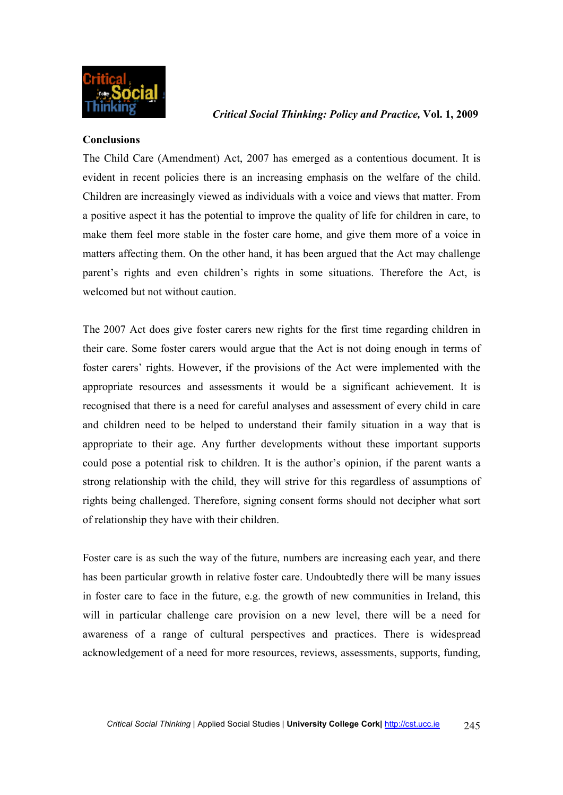

#### **Conclusions**

The Child Care (Amendment) Act, 2007 has emerged as a contentious document. It is evident in recent policies there is an increasing emphasis on the welfare of the child. Children are increasingly viewed as individuals with a voice and views that matter. From a positive aspect it has the potential to improve the quality of life for children in care, to make them feel more stable in the foster care home, and give them more of a voice in matters affecting them. On the other hand, it has been argued that the Act may challenge parent's rights and even children's rights in some situations. Therefore the Act, is welcomed but not without caution.

The 2007 Act does give foster carers new rights for the first time regarding children in their care. Some foster carers would argue that the Act is not doing enough in terms of foster carers' rights. However, if the provisions of the Act were implemented with the appropriate resources and assessments it would be a significant achievement. It is recognised that there is a need for careful analyses and assessment of every child in care and children need to be helped to understand their family situation in a way that is appropriate to their age. Any further developments without these important supports could pose a potential risk to children. It is the author's opinion, if the parent wants a strong relationship with the child, they will strive for this regardless of assumptions of rights being challenged. Therefore, signing consent forms should not decipher what sort of relationship they have with their children.

Foster care is as such the way of the future, numbers are increasing each year, and there has been particular growth in relative foster care. Undoubtedly there will be many issues in foster care to face in the future, e.g. the growth of new communities in Ireland, this will in particular challenge care provision on a new level, there will be a need for awareness of a range of cultural perspectives and practices. There is widespread acknowledgement of a need for more resources, reviews, assessments, supports, funding,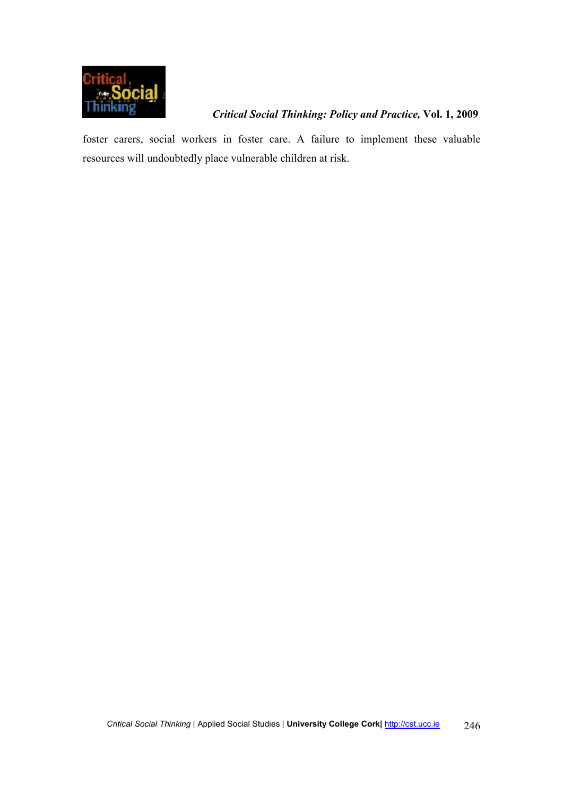

foster carers, social workers in foster care. A failure to implement these valuable resources will undoubtedly place vulnerable children at risk.